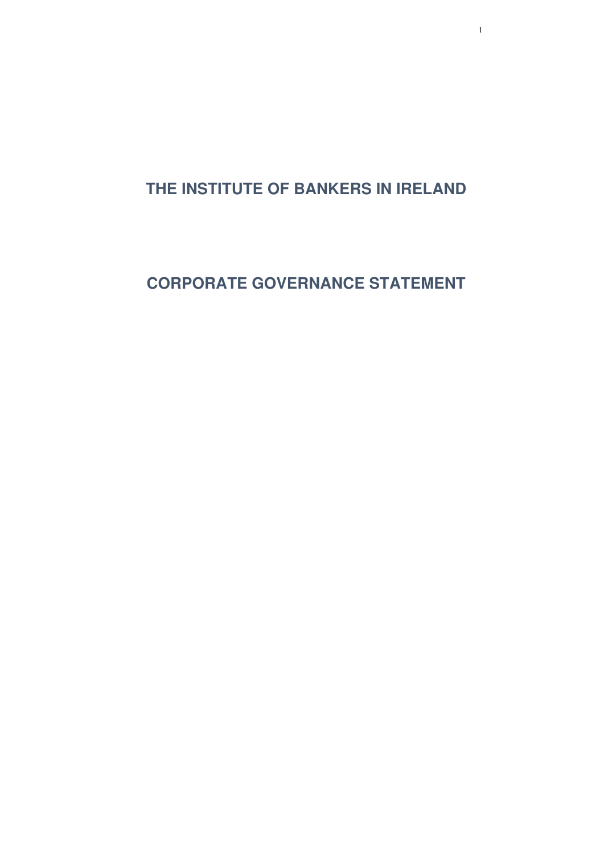1

**THE INSTITUTE OF BANKERS IN IRELAND** 

**CORPORATE GOVERNANCE STATEMENT**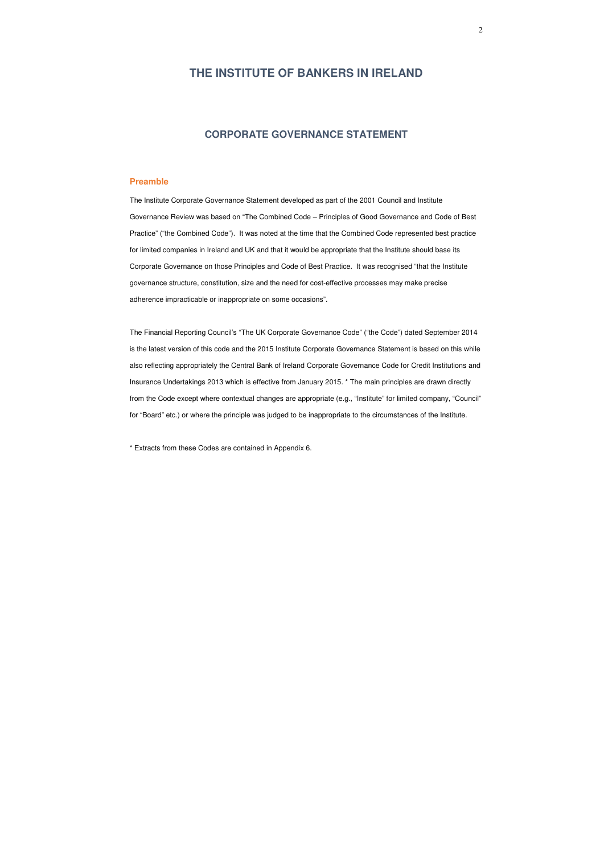## **THE INSTITUTE OF BANKERS IN IRELAND**

## **CORPORATE GOVERNANCE STATEMENT**

## **Preamble**

The Institute Corporate Governance Statement developed as part of the 2001 Council and Institute Governance Review was based on "The Combined Code – Principles of Good Governance and Code of Best Practice" ("the Combined Code"). It was noted at the time that the Combined Code represented best practice for limited companies in Ireland and UK and that it would be appropriate that the Institute should base its Corporate Governance on those Principles and Code of Best Practice. It was recognised "that the Institute governance structure, constitution, size and the need for cost-effective processes may make precise adherence impracticable or inappropriate on some occasions".

The Financial Reporting Council's "The UK Corporate Governance Code" ("the Code") dated September 2014 is the latest version of this code and the 2015 Institute Corporate Governance Statement is based on this while also reflecting appropriately the Central Bank of Ireland Corporate Governance Code for Credit Institutions and Insurance Undertakings 2013 which is effective from January 2015. \* The main principles are drawn directly from the Code except where contextual changes are appropriate (e.g., "Institute" for limited company, "Council" for "Board" etc.) or where the principle was judged to be inappropriate to the circumstances of the Institute.

\* Extracts from these Codes are contained in Appendix 6.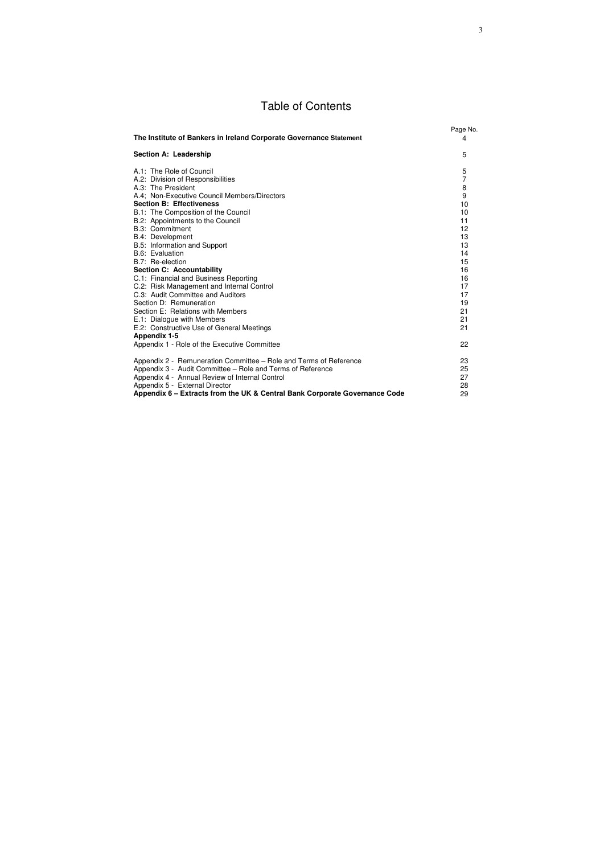# Table of Contents

| The Institute of Bankers in Ireland Corporate Governance Statement                                                                                                                                                                                                                                                                                                                                                                                                                                                                                                                                                                                                                                      | Page No.<br>4                                                                                                                 |
|---------------------------------------------------------------------------------------------------------------------------------------------------------------------------------------------------------------------------------------------------------------------------------------------------------------------------------------------------------------------------------------------------------------------------------------------------------------------------------------------------------------------------------------------------------------------------------------------------------------------------------------------------------------------------------------------------------|-------------------------------------------------------------------------------------------------------------------------------|
| <b>Section A: Leadership</b>                                                                                                                                                                                                                                                                                                                                                                                                                                                                                                                                                                                                                                                                            | 5                                                                                                                             |
| A.1: The Role of Council<br>A.2: Division of Responsibilities<br>A.3: The President<br>A.4; Non-Executive Council Members/Directors<br><b>Section B: Effectiveness</b><br>B.1: The Composition of the Council<br>B.2: Appointments to the Council<br><b>B.3: Commitment</b><br>B.4: Development<br>B.5: Information and Support<br>B.6: Evaluation<br>B.7: Re-election<br><b>Section C: Accountability</b><br>C.1: Financial and Business Reporting<br>C.2: Risk Management and Internal Control<br>C.3: Audit Committee and Auditors<br>Section D: Remuneration<br>Section E: Relations with Members<br>E.1: Dialogue with Members<br>E.2: Constructive Use of General Meetings<br><b>Appendix 1-5</b> | 5<br>$\overline{7}$<br>8<br>9<br>10<br>10<br>11<br>12<br>13<br>13<br>14<br>15<br>16<br>16<br>17<br>17<br>19<br>21<br>21<br>21 |
| Appendix 1 - Role of the Executive Committee                                                                                                                                                                                                                                                                                                                                                                                                                                                                                                                                                                                                                                                            | 22                                                                                                                            |
| Appendix 2 - Remuneration Committee - Role and Terms of Reference<br>Appendix 3 - Audit Committee - Role and Terms of Reference<br>Appendix 4 - Annual Review of Internal Control<br>Appendix 5 - External Director<br>Appendix 6 – Extracts from the UK & Central Bank Corporate Governance Code                                                                                                                                                                                                                                                                                                                                                                                                       | 23<br>25<br>27<br>28<br>29                                                                                                    |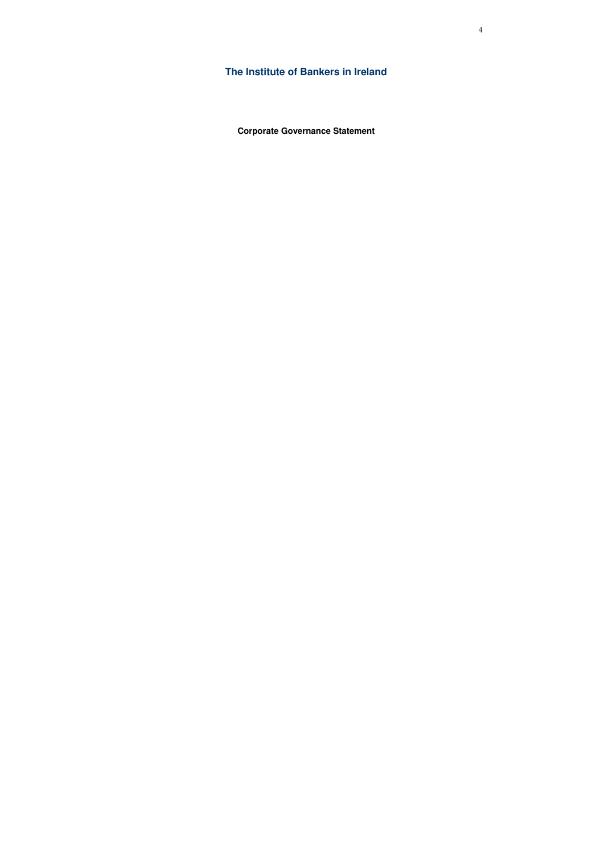**The Institute of Bankers in Ireland** 

**Corporate Governance Statement**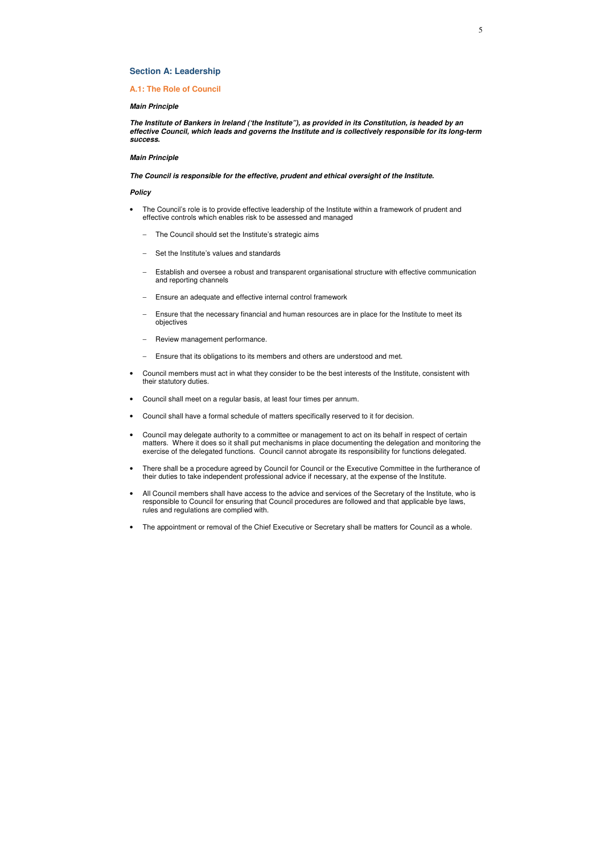## **Section A: Leadership**

## **A.1: The Role of Council**

#### *Main Principle*

*The Institute of Bankers in Ireland ('the Institute"), as provided in its Constitution, is headed by an effective Council, which leads and governs the Institute and is collectively responsible for its long-term success.* 

#### *Main Principle*

*The Council is responsible for the effective, prudent and ethical oversight of the Institute.*

- The Council's role is to provide effective leadership of the Institute within a framework of prudent and effective controls which enables risk to be assessed and managed
	- The Council should set the Institute's strategic aims
	- Set the Institute's values and standards
	- Establish and oversee a robust and transparent organisational structure with effective communication and reporting channels
	- Ensure an adequate and effective internal control framework
	- Ensure that the necessary financial and human resources are in place for the Institute to meet its objectives
	- Review management performance.
	- Ensure that its obligations to its members and others are understood and met.
- Council members must act in what they consider to be the best interests of the Institute, consistent with their statutory duties.
- Council shall meet on a regular basis, at least four times per annum.
- Council shall have a formal schedule of matters specifically reserved to it for decision.
- Council may delegate authority to a committee or management to act on its behalf in respect of certain matters. Where it does so it shall put mechanisms in place documenting the delegation and monitoring the exercise of the delegated functions. Council cannot abrogate its responsibility for functions delegated.
- There shall be a procedure agreed by Council for Council or the Executive Committee in the furtherance of their duties to take independent professional advice if necessary, at the expense of the Institute.
- All Council members shall have access to the advice and services of the Secretary of the Institute, who is responsible to Council for ensuring that Council procedures are followed and that applicable bye laws, rules and regulations are complied with.
- The appointment or removal of the Chief Executive or Secretary shall be matters for Council as a whole.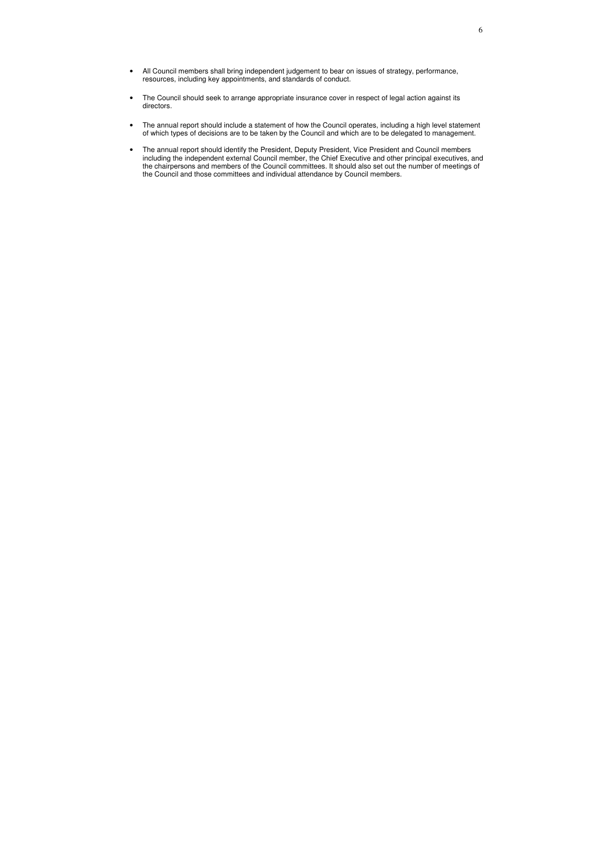- All Council members shall bring independent judgement to bear on issues of strategy, performance, resources, including key appointments, and standards of conduct.
- The Council should seek to arrange appropriate insurance cover in respect of legal action against its directors.
- The annual report should include a statement of how the Council operates, including a high level statement of which types of decisions are to be taken by the Council and which are to be delegated to management.
- The annual report should identify the President, Deputy President, Vice President and Council members including the independent external Council member, the Chief Executive and other principal executives, and the chairpersons and members of the Council committees. It should also set out the number of meetings of the Council and those committees and individual attendance by Council members.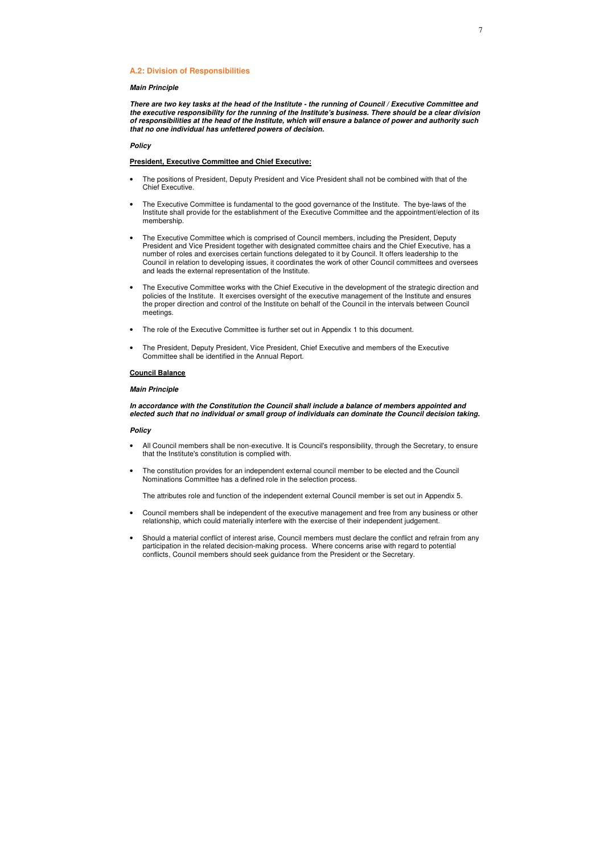#### **A.2: Division of Responsibilities**

#### *Main Principle*

*There are two key tasks at the head of the Institute - the running of Council / Executive Committee and the executive responsibility for the running of the Institute's business. There should be a clear division of responsibilities at the head of the Institute, which will ensure a balance of power and authority such that no one individual has unfettered powers of decision.*

## *Policy*

#### **President, Executive Committee and Chief Executive:**

- The positions of President, Deputy President and Vice President shall not be combined with that of the Chief Executive.
- The Executive Committee is fundamental to the good governance of the Institute. The bye-laws of the Institute shall provide for the establishment of the Executive Committee and the appointment/election of its membership.
- The Executive Committee which is comprised of Council members, including the President, Deputy President and Vice President together with designated committee chairs and the Chief Executive, has a number of roles and exercises certain functions delegated to it by Council. It offers leadership to the Council in relation to developing issues, it coordinates the work of other Council committees and oversees and leads the external representation of the Institute.
- The Executive Committee works with the Chief Executive in the development of the strategic direction and policies of the Institute. It exercises oversight of the executive management of the Institute and ensures the proper direction and control of the Institute on behalf of the Council in the intervals between Council meetings.
- The role of the Executive Committee is further set out in Appendix 1 to this document.
- The President, Deputy President, Vice President, Chief Executive and members of the Executive Committee shall be identified in the Annual Report.

### **Council Balance**

#### *Main Principle*

*In accordance with the Constitution the Council shall include a balance of members appointed and elected such that no individual or small group of individuals can dominate the Council decision taking.*

#### *Policy*

- All Council members shall be non-executive. It is Council's responsibility, through the Secretary, to ensure that the Institute's constitution is complied with.
- The constitution provides for an independent external council member to be elected and the Council Nominations Committee has a defined role in the selection process.

The attributes role and function of the independent external Council member is set out in Appendix 5.

- Council members shall be independent of the executive management and free from any business or other relationship, which could materially interfere with the exercise of their independent judgement.
- Should a material conflict of interest arise, Council members must declare the conflict and refrain from any participation in the related decision-making process. Where concerns arise with regard to potential conflicts, Council members should seek guidance from the President or the Secretary.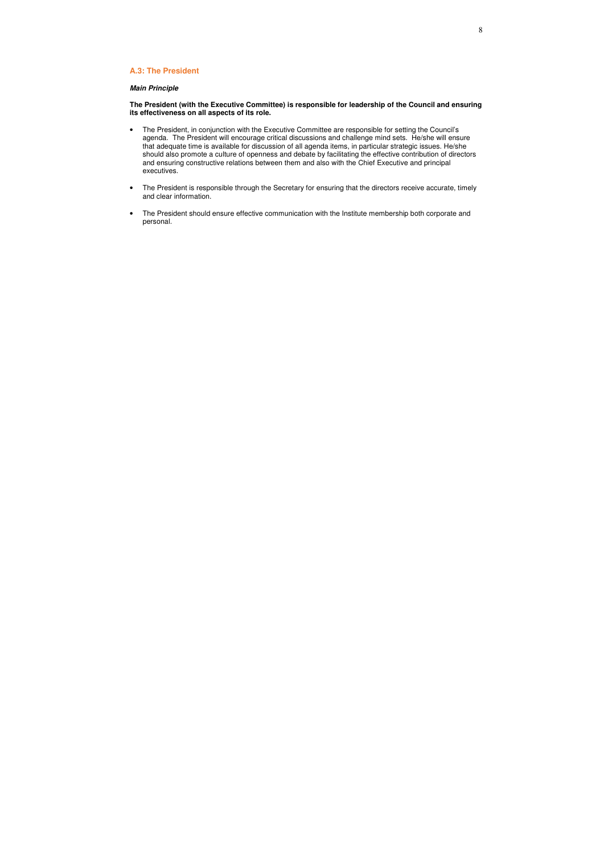## **A.3: The President**

## *Main Principle*

### **The President (with the Executive Committee) is responsible for leadership of the Council and ensuring its effectiveness on all aspects of its role.**

- The President, in conjunction with the Executive Committee are responsible for setting the Council's agenda. The President will encourage critical discussions and challenge mind sets. He/she will ensure that adequate time is available for discussion of all agenda items, in particular strategic issues. He/she should also promote a culture of openness and debate by facilitating the effective contribution of directors and ensuring constructive relations between them and also with the Chief Executive and principal executives.
- The President is responsible through the Secretary for ensuring that the directors receive accurate, timely and clear information.
- The President should ensure effective communication with the Institute membership both corporate and personal.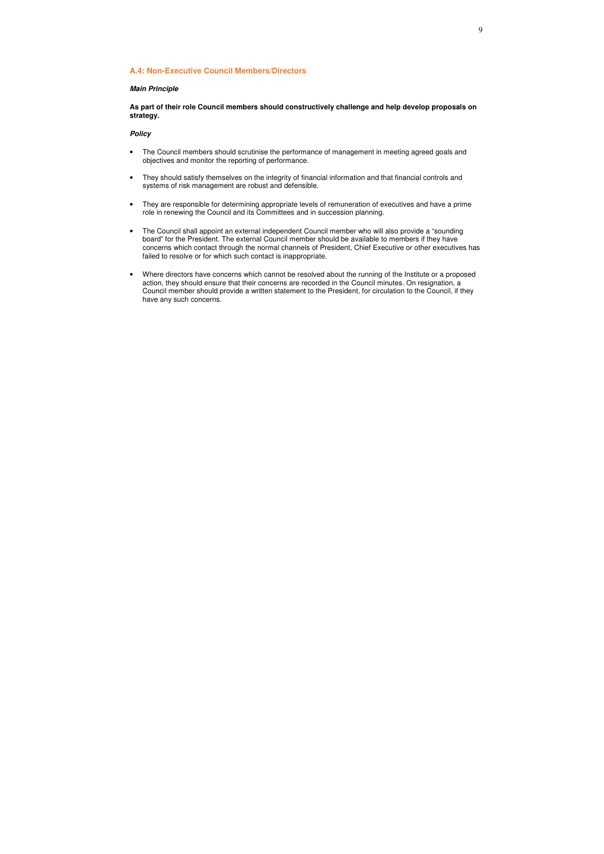### **A.4: Non-Executive Council Members/Directors**

## *Main Principle*

**As part of their role Council members should constructively challenge and help develop proposals on strategy.** 

- The Council members should scrutinise the performance of management in meeting agreed goals and objectives and monitor the reporting of performance.
- They should satisfy themselves on the integrity of financial information and that financial controls and systems of risk management are robust and defensible.
- They are responsible for determining appropriate levels of remuneration of executives and have a prime role in renewing the Council and its Committees and in succession planning.
- The Council shall appoint an external independent Council member who will also provide a "sounding board" for the President. The external Council member should be available to members if they have concerns which contact through the normal channels of President, Chief Executive or other executives has failed to resolve or for which such contact is inappropriate.
- Where directors have concerns which cannot be resolved about the running of the Institute or a proposed action, they should ensure that their concerns are recorded in the Council minutes. On resignation, a Council member should provide a written statement to the President, for circulation to the Council, if they have any such concerns.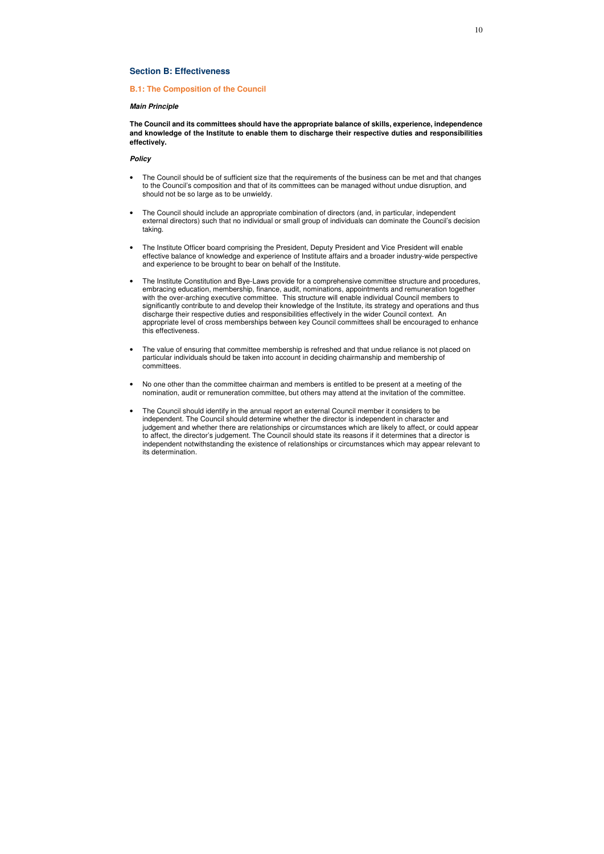## **Section B: Effectiveness**

### **B.1: The Composition of the Council**

#### *Main Principle*

**The Council and its committees should have the appropriate balance of skills, experience, independence and knowledge of the Institute to enable them to discharge their respective duties and responsibilities effectively.** 

- The Council should be of sufficient size that the requirements of the business can be met and that changes to the Council's composition and that of its committees can be managed without undue disruption, and should not be so large as to be unwieldy.
- The Council should include an appropriate combination of directors (and, in particular, independent external directors) such that no individual or small group of individuals can dominate the Council's decision taking.
- The Institute Officer board comprising the President, Deputy President and Vice President will enable effective balance of knowledge and experience of Institute affairs and a broader industry-wide perspective and experience to be brought to bear on behalf of the Institute.
- The Institute Constitution and Bye-Laws provide for a comprehensive committee structure and procedures, embracing education, membership, finance, audit, nominations, appointments and remuneration together with the over-arching executive committee. This structure will enable individual Council members to significantly contribute to and develop their knowledge of the Institute, its strategy and operations and thus discharge their respective duties and responsibilities effectively in the wider Council context. An appropriate level of cross memberships between key Council committees shall be encouraged to enhance this effectiveness.
- The value of ensuring that committee membership is refreshed and that undue reliance is not placed on particular individuals should be taken into account in deciding chairmanship and membership of committees.
- No one other than the committee chairman and members is entitled to be present at a meeting of the nomination, audit or remuneration committee, but others may attend at the invitation of the committee.
- The Council should identify in the annual report an external Council member it considers to be independent. The Council should determine whether the director is independent in character and judgement and whether there are relationships or circumstances which are likely to affect, or could appear to affect, the director's judgement. The Council should state its reasons if it determines that a director is independent notwithstanding the existence of relationships or circumstances which may appear relevant to its determination.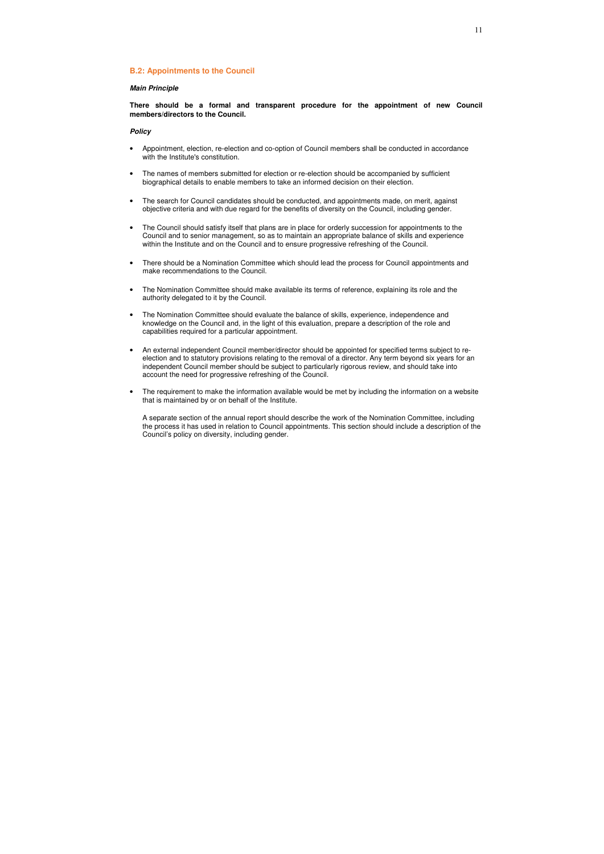### **B.2: Appointments to the Council**

#### *Main Principle*

**There should be a formal and transparent procedure for the appointment of new Council members/directors to the Council.** 

#### *Policy*

- Appointment, election, re-election and co-option of Council members shall be conducted in accordance with the Institute's constitution.
- The names of members submitted for election or re-election should be accompanied by sufficient biographical details to enable members to take an informed decision on their election.
- The search for Council candidates should be conducted, and appointments made, on merit, against objective criteria and with due regard for the benefits of diversity on the Council, including gender.
- The Council should satisfy itself that plans are in place for orderly succession for appointments to the Council and to senior management, so as to maintain an appropriate balance of skills and experience within the Institute and on the Council and to ensure progressive refreshing of the Council.
- There should be a Nomination Committee which should lead the process for Council appointments and make recommendations to the Council.
- The Nomination Committee should make available its terms of reference, explaining its role and the authority delegated to it by the Council.
- The Nomination Committee should evaluate the balance of skills, experience, independence and knowledge on the Council and, in the light of this evaluation, prepare a description of the role and capabilities required for a particular appointment.
- An external independent Council member/director should be appointed for specified terms subject to reelection and to statutory provisions relating to the removal of a director. Any term beyond six years for an independent Council member should be subject to particularly rigorous review, and should take into account the need for progressive refreshing of the Council.
- The requirement to make the information available would be met by including the information on a website that is maintained by or on behalf of the Institute.

A separate section of the annual report should describe the work of the Nomination Committee, including the process it has used in relation to Council appointments. This section should include a description of the Council's policy on diversity, including gender.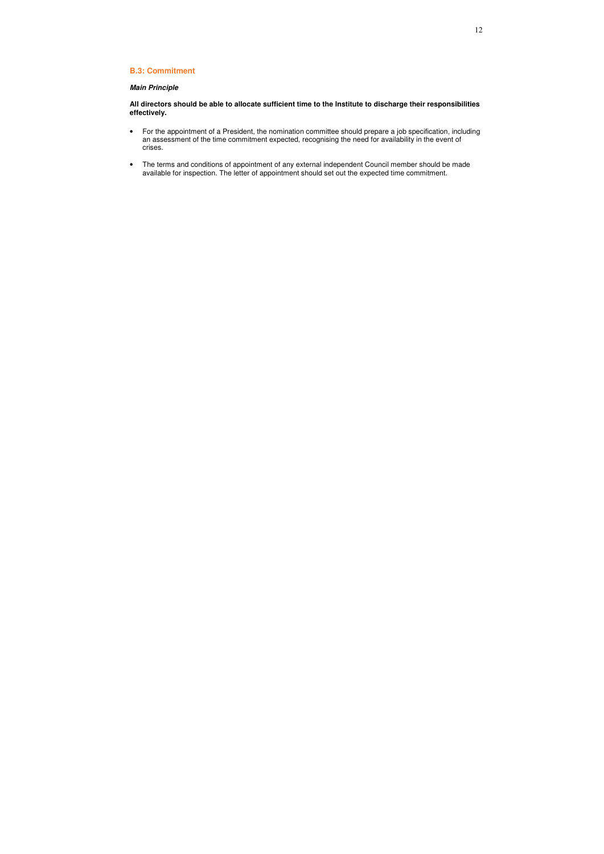## **B.3: Commitment**

## *Main Principle*

**All directors should be able to allocate sufficient time to the Institute to discharge their responsibilities effectively.** 

- For the appointment of a President, the nomination committee should prepare a job specification, including an assessment of the time commitment expected, recognising the need for availability in the event of crises.
- The terms and conditions of appointment of any external independent Council member should be made available for inspection. The letter of appointment should set out the expected time commitment.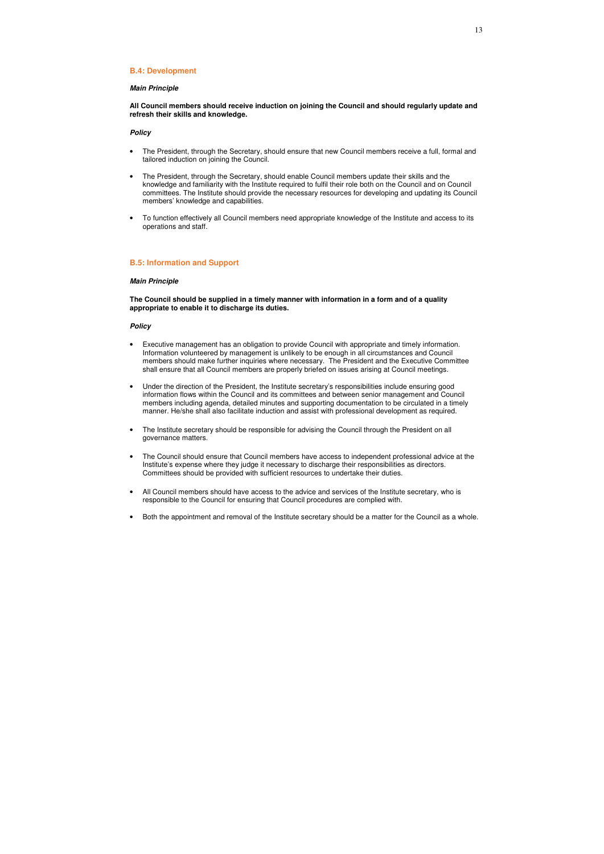#### **B.4: Development**

#### *Main Principle*

**All Council members should receive induction on joining the Council and should regularly update and refresh their skills and knowledge.** 

#### *Policy*

- The President, through the Secretary, should ensure that new Council members receive a full, formal and tailored induction on joining the Council.
- The President, through the Secretary, should enable Council members update their skills and the knowledge and familiarity with the Institute required to fulfil their role both on the Council and on Council committees. The Institute should provide the necessary resources for developing and updating its Council members' knowledge and capabilities.
- To function effectively all Council members need appropriate knowledge of the Institute and access to its operations and staff.

#### **B.5: Information and Support**

#### *Main Principle*

**The Council should be supplied in a timely manner with information in a form and of a quality appropriate to enable it to discharge its duties.** 

- Executive management has an obligation to provide Council with appropriate and timely information. Information volunteered by management is unlikely to be enough in all circumstances and Council members should make further inquiries where necessary. The President and the Executive Committee shall ensure that all Council members are properly briefed on issues arising at Council meetings.
- Under the direction of the President, the Institute secretary's responsibilities include ensuring good information flows within the Council and its committees and between senior management and Council members including agenda, detailed minutes and supporting documentation to be circulated in a timely manner. He/she shall also facilitate induction and assist with professional development as required.
- The Institute secretary should be responsible for advising the Council through the President on all governance matters.
- The Council should ensure that Council members have access to independent professional advice at the Institute's expense where they judge it necessary to discharge their responsibilities as directors. Committees should be provided with sufficient resources to undertake their duties.
- All Council members should have access to the advice and services of the Institute secretary, who is responsible to the Council for ensuring that Council procedures are complied with.
- Both the appointment and removal of the Institute secretary should be a matter for the Council as a whole.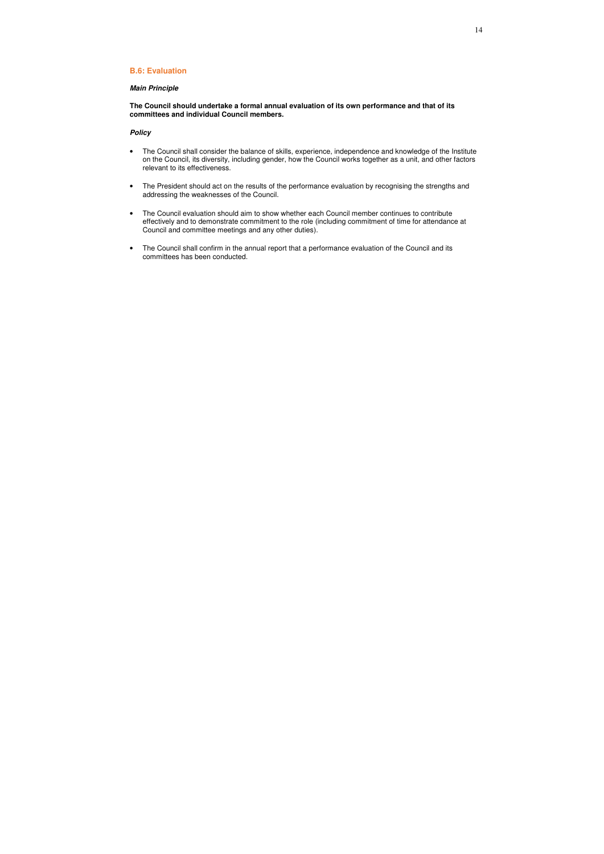## **B.6: Evaluation**

## *Main Principle*

**The Council should undertake a formal annual evaluation of its own performance and that of its committees and individual Council members.** 

- The Council shall consider the balance of skills, experience, independence and knowledge of the Institute on the Council, its diversity, including gender, how the Council works together as a unit, and other factors relevant to its effectiveness.
- The President should act on the results of the performance evaluation by recognising the strengths and addressing the weaknesses of the Council.
- The Council evaluation should aim to show whether each Council member continues to contribute effectively and to demonstrate commitment to the role (including commitment of time for attendance at Council and committee meetings and any other duties).
- The Council shall confirm in the annual report that a performance evaluation of the Council and its committees has been conducted.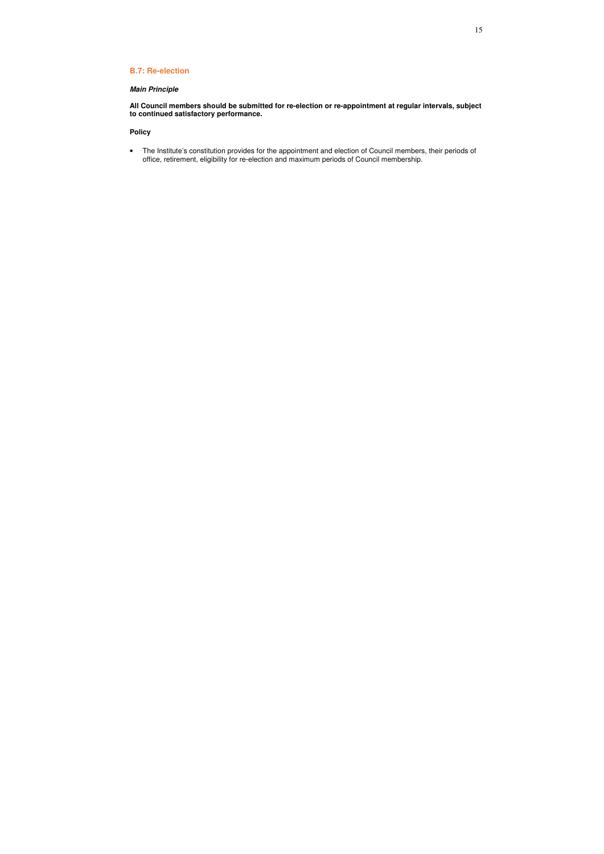## **B.7: Re-election**

## *Main Principle*

**All Council members should be submitted for re-election or re-appointment at regular intervals, subject to continued satisfactory performance.** 

## **Policy**

• The Institute's constitution provides for the appointment and election of Council members, their periods of office, retirement, eligibility for re-election and maximum periods of Council membership.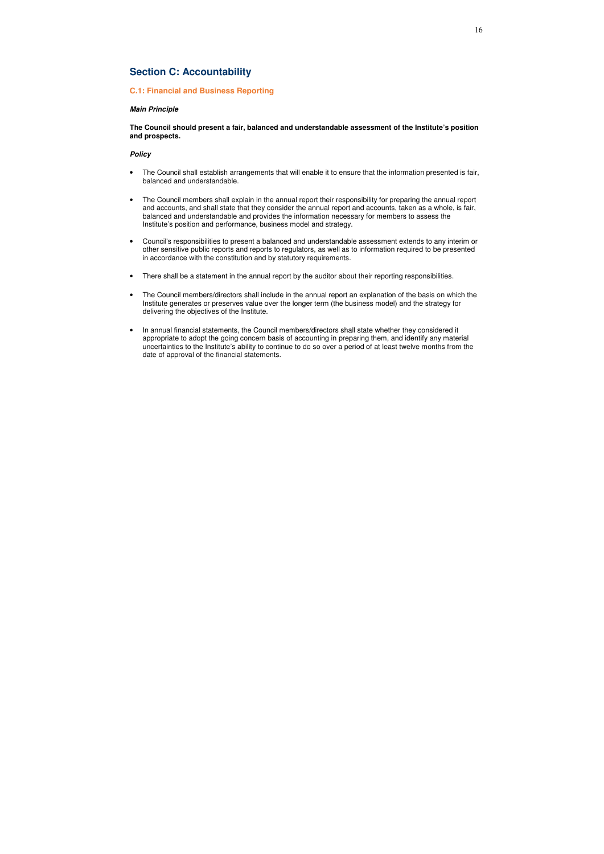## **Section C: Accountability**

## **C.1: Financial and Business Reporting**

#### *Main Principle*

**The Council should present a fair, balanced and understandable assessment of the Institute's position and prospects.** 

- The Council shall establish arrangements that will enable it to ensure that the information presented is fair, balanced and understandable.
- The Council members shall explain in the annual report their responsibility for preparing the annual report and accounts, and shall state that they consider the annual report and accounts, taken as a whole, is fair, balanced and understandable and provides the information necessary for members to assess the Institute's position and performance, business model and strategy.
- Council's responsibilities to present a balanced and understandable assessment extends to any interim or other sensitive public reports and reports to regulators, as well as to information required to be presented in accordance with the constitution and by statutory requirements.
- There shall be a statement in the annual report by the auditor about their reporting responsibilities.
- The Council members/directors shall include in the annual report an explanation of the basis on which the Institute generates or preserves value over the longer term (the business model) and the strategy for delivering the objectives of the Institute.
- In annual financial statements, the Council members/directors shall state whether they considered it appropriate to adopt the going concern basis of accounting in preparing them, and identify any material uncertainties to the Institute's ability to continue to do so over a period of at least twelve months from the date of approval of the financial statements.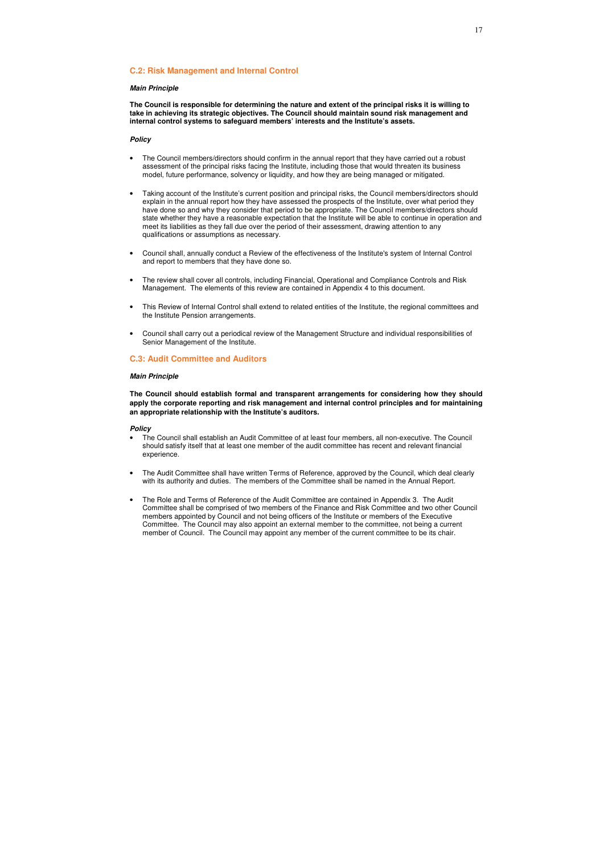### **C.2: Risk Management and Internal Control**

#### *Main Principle*

**The Council is responsible for determining the nature and extent of the principal risks it is willing to take in achieving its strategic objectives. The Council should maintain sound risk management and internal control systems to safeguard members' interests and the Institute's assets.** 

#### *Policy*

- The Council members/directors should confirm in the annual report that they have carried out a robust assessment of the principal risks facing the Institute, including those that would threaten its business model, future performance, solvency or liquidity, and how they are being managed or mitigated.
- Taking account of the Institute's current position and principal risks, the Council members/directors should explain in the annual report how they have assessed the prospects of the Institute, over what period they have done so and why they consider that period to be appropriate. The Council members/directors should state whether they have a reasonable expectation that the Institute will be able to continue in operation and meet its liabilities as they fall due over the period of their assessment, drawing attention to any qualifications or assumptions as necessary.
- Council shall, annually conduct a Review of the effectiveness of the Institute's system of Internal Control and report to members that they have done so.
- The review shall cover all controls, including Financial, Operational and Compliance Controls and Risk Management. The elements of this review are contained in Appendix 4 to this document.
- This Review of Internal Control shall extend to related entities of the Institute, the regional committees and the Institute Pension arrangements.
- Council shall carry out a periodical review of the Management Structure and individual responsibilities of Senior Management of the Institute.

### **C.3: Audit Committee and Auditors**

#### *Main Principle*

**The Council should establish formal and transparent arrangements for considering how they should apply the corporate reporting and risk management and internal control principles and for maintaining an appropriate relationship with the Institute's auditors.** 

- The Council shall establish an Audit Committee of at least four members, all non-executive. The Council should satisfy itself that at least one member of the audit committee has recent and relevant financial experience.
- The Audit Committee shall have written Terms of Reference, approved by the Council, which deal clearly with its authority and duties. The members of the Committee shall be named in the Annual Report.
- The Role and Terms of Reference of the Audit Committee are contained in Appendix 3. The Audit Committee shall be comprised of two members of the Finance and Risk Committee and two other Council members appointed by Council and not being officers of the Institute or members of the Executive Committee. The Council may also appoint an external member to the committee, not being a current member of Council. The Council may appoint any member of the current committee to be its chair.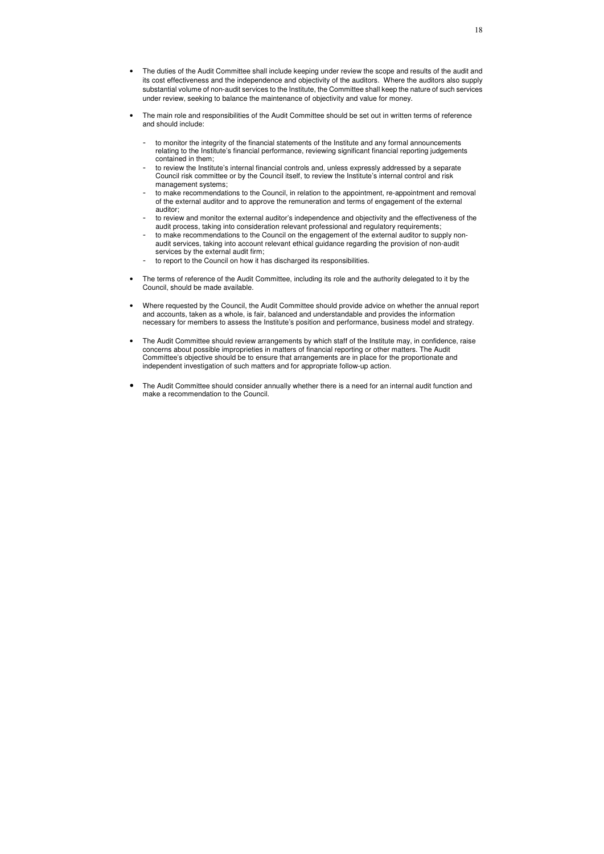- The duties of the Audit Committee shall include keeping under review the scope and results of the audit and its cost effectiveness and the independence and objectivity of the auditors. Where the auditors also supply substantial volume of non-audit services to the Institute, the Committee shall keep the nature of such services under review, seeking to balance the maintenance of objectivity and value for money.
- The main role and responsibilities of the Audit Committee should be set out in written terms of reference and should include:
	- to monitor the integrity of the financial statements of the Institute and any formal announcements relating to the Institute's financial performance, reviewing significant financial reporting judgements contained in them;
	- to review the Institute's internal financial controls and, unless expressly addressed by a separate Council risk committee or by the Council itself, to review the Institute's internal control and risk management systems;
	- to make recommendations to the Council, in relation to the appointment, re-appointment and removal of the external auditor and to approve the remuneration and terms of engagement of the external auditor;
	- to review and monitor the external auditor's independence and objectivity and the effectiveness of the audit process, taking into consideration relevant professional and regulatory requirements;
	- to make recommendations to the Council on the engagement of the external auditor to supply nonaudit services, taking into account relevant ethical guidance regarding the provision of non-audit services by the external audit firm;
	- to report to the Council on how it has discharged its responsibilities.
- The terms of reference of the Audit Committee, including its role and the authority delegated to it by the Council, should be made available.
- Where requested by the Council, the Audit Committee should provide advice on whether the annual report and accounts, taken as a whole, is fair, balanced and understandable and provides the information necessary for members to assess the Institute's position and performance, business model and strategy.
- The Audit Committee should review arrangements by which staff of the Institute may, in confidence, raise concerns about possible improprieties in matters of financial reporting or other matters. The Audit Committee's objective should be to ensure that arrangements are in place for the proportionate and independent investigation of such matters and for appropriate follow-up action.
- The Audit Committee should consider annually whether there is a need for an internal audit function and make a recommendation to the Council.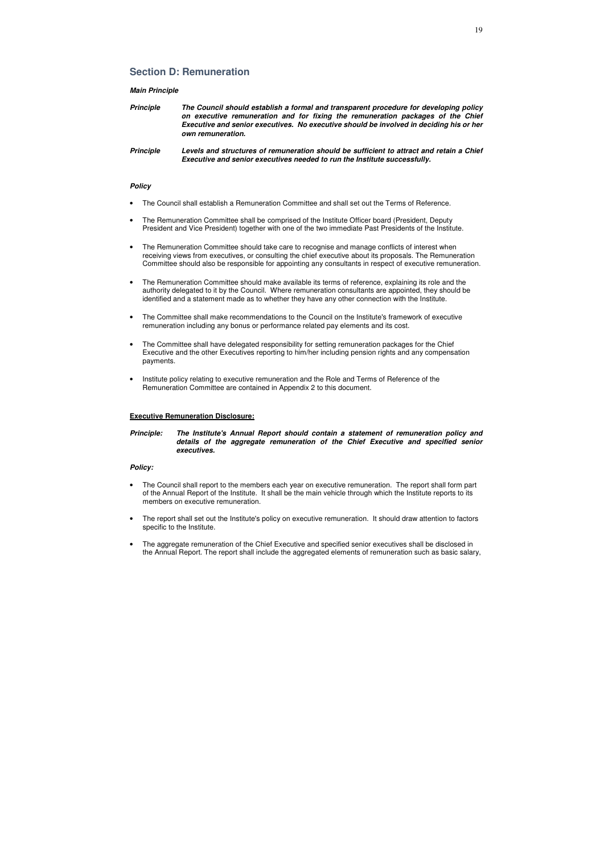## **Section D: Remuneration**

#### *Main Principle*

| <b>Principle</b> | The Council should establish a formal and transparent procedure for developing policy   |
|------------------|-----------------------------------------------------------------------------------------|
|                  | on executive remuneration and for fixing the remuneration packages of the Chief         |
|                  | Executive and senior executives. No executive should be involved in deciding his or her |
|                  | own remuneration.                                                                       |

*Principle Levels and structures of remuneration should be sufficient to attract and retain a Chief Executive and senior executives needed to run the Institute successfully.* 

#### *Policy*

- The Council shall establish a Remuneration Committee and shall set out the Terms of Reference.
- The Remuneration Committee shall be comprised of the Institute Officer board (President, Deputy President and Vice President) together with one of the two immediate Past Presidents of the Institute.
- The Remuneration Committee should take care to recognise and manage conflicts of interest when receiving views from executives, or consulting the chief executive about its proposals. The Remuneration Committee should also be responsible for appointing any consultants in respect of executive remuneration.
- The Remuneration Committee should make available its terms of reference, explaining its role and the authority delegated to it by the Council. Where remuneration consultants are appointed, they should be identified and a statement made as to whether they have any other connection with the Institute.
- The Committee shall make recommendations to the Council on the Institute's framework of executive remuneration including any bonus or performance related pay elements and its cost.
- The Committee shall have delegated responsibility for setting remuneration packages for the Chief Executive and the other Executives reporting to him/her including pension rights and any compensation payments.
- Institute policy relating to executive remuneration and the Role and Terms of Reference of the Remuneration Committee are contained in Appendix 2 to this document.

#### **Executive Remuneration Disclosure:**

*Principle: The Institute's Annual Report should contain a statement of remuneration policy and details of the aggregate remuneration of the Chief Executive and specified senior executives.*

- The Council shall report to the members each year on executive remuneration. The report shall form part of the Annual Report of the Institute. It shall be the main vehicle through which the Institute reports to its members on executive remuneration.
- The report shall set out the Institute's policy on executive remuneration. It should draw attention to factors specific to the Institute.
- The aggregate remuneration of the Chief Executive and specified senior executives shall be disclosed in the Annual Report. The report shall include the aggregated elements of remuneration such as basic salary,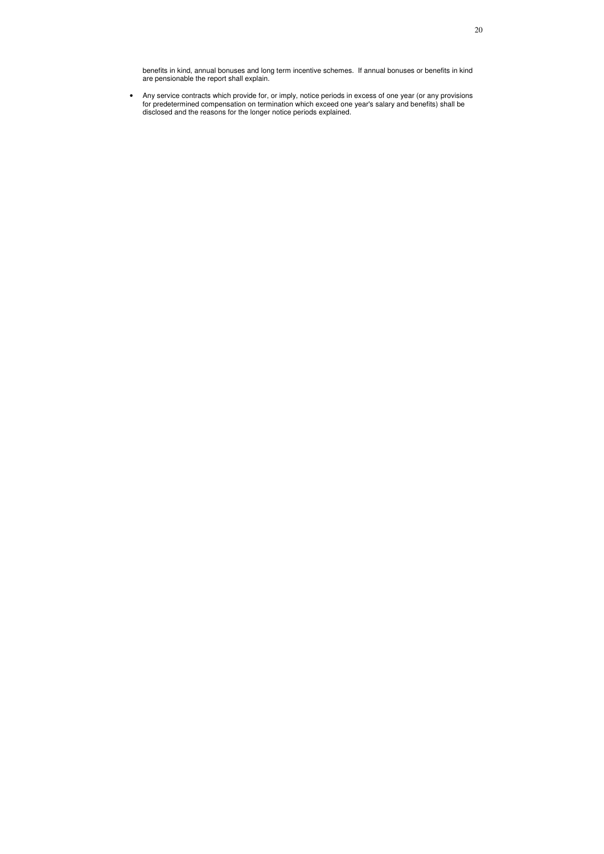benefits in kind, annual bonuses and long term incentive schemes. If annual bonuses or benefits in kind are pensionable the report shall explain.

• Any service contracts which provide for, or imply, notice periods in excess of one year (or any provisions for predetermined compensation on termination which exceed one year's salary and benefits) shall be disclosed and the reasons for the longer notice periods explained.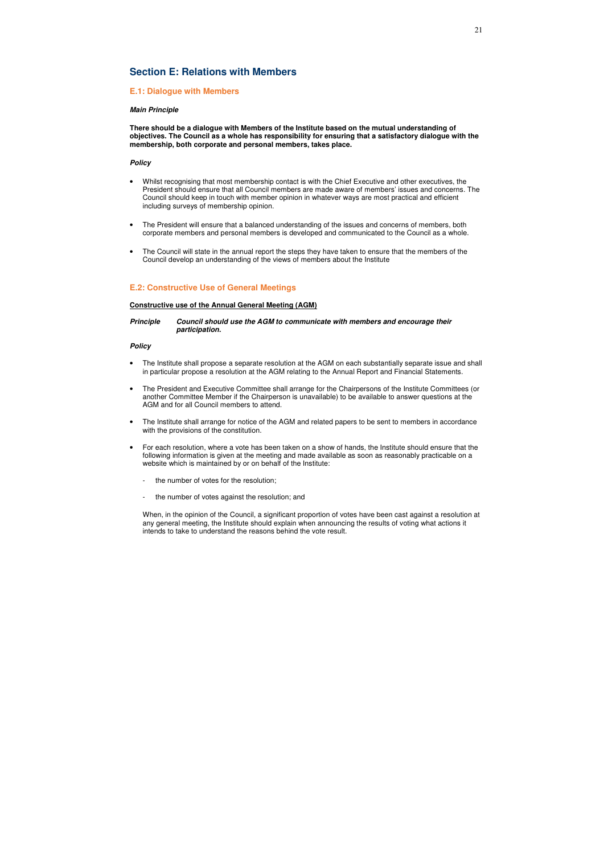## **Section E: Relations with Members**

## **E.1: Dialogue with Members**

#### *Main Principle*

**There should be a dialogue with Members of the Institute based on the mutual understanding of objectives. The Council as a whole has responsibility for ensuring that a satisfactory dialogue with the membership, both corporate and personal members, takes place.** 

#### *Policy*

- Whilst recognising that most membership contact is with the Chief Executive and other executives, the President should ensure that all Council members are made aware of members' issues and concerns. The Council should keep in touch with member opinion in whatever ways are most practical and efficient including surveys of membership opinion.
- The President will ensure that a balanced understanding of the issues and concerns of members, both corporate members and personal members is developed and communicated to the Council as a whole.
- The Council will state in the annual report the steps they have taken to ensure that the members of the Council develop an understanding of the views of members about the Institute

## **E.2: Constructive Use of General Meetings**

#### **Constructive use of the Annual General Meeting (AGM)**

### *Principle Council should use the AGM to communicate with members and encourage their participation.*

#### *Policy*

- The Institute shall propose a separate resolution at the AGM on each substantially separate issue and shall in particular propose a resolution at the AGM relating to the Annual Report and Financial Statements.
- The President and Executive Committee shall arrange for the Chairpersons of the Institute Committees (or another Committee Member if the Chairperson is unavailable) to be available to answer questions at the AGM and for all Council members to attend.
- The Institute shall arrange for notice of the AGM and related papers to be sent to members in accordance with the provisions of the constitution.
- For each resolution, where a vote has been taken on a show of hands, the Institute should ensure that the following information is given at the meeting and made available as soon as reasonably practicable on a website which is maintained by or on behalf of the Institute:
	- the number of votes for the resolution;
	- the number of votes against the resolution; and

When, in the opinion of the Council, a significant proportion of votes have been cast against a resolution at any general meeting, the Institute should explain when announcing the results of voting what actions it intends to take to understand the reasons behind the vote result.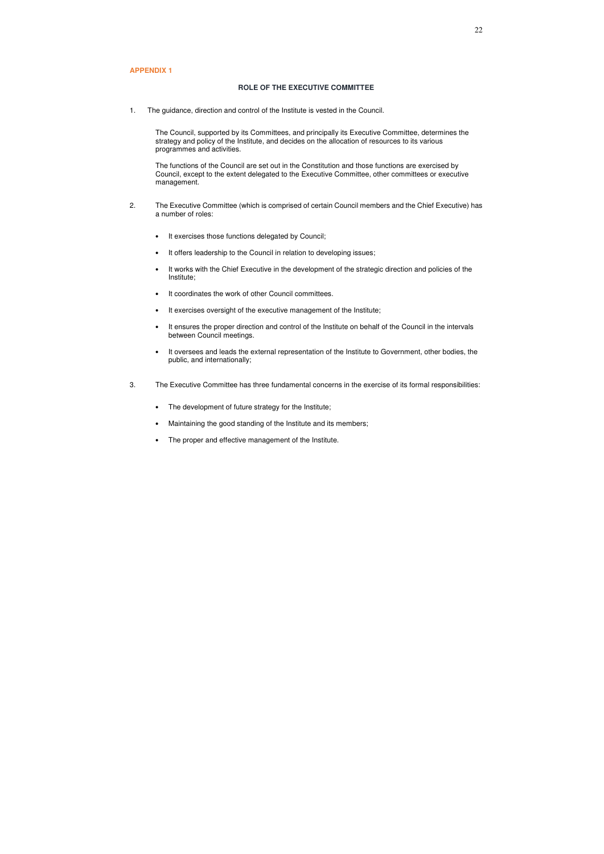#### **APPENDIX 1**

#### **ROLE OF THE EXECUTIVE COMMITTEE**

1. The guidance, direction and control of the Institute is vested in the Council.

The Council, supported by its Committees, and principally its Executive Committee, determines the strategy and policy of the Institute, and decides on the allocation of resources to its various programmes and activities.

 The functions of the Council are set out in the Constitution and those functions are exercised by Council, except to the extent delegated to the Executive Committee, other committees or executive management.

- 2. The Executive Committee (which is comprised of certain Council members and the Chief Executive) has a number of roles:
	- It exercises those functions delegated by Council;
	- It offers leadership to the Council in relation to developing issues;
	- It works with the Chief Executive in the development of the strategic direction and policies of the Institute;
	- It coordinates the work of other Council committees.
	- It exercises oversight of the executive management of the Institute;
	- It ensures the proper direction and control of the Institute on behalf of the Council in the intervals between Council meetings.
	- It oversees and leads the external representation of the Institute to Government, other bodies, the public, and internationally;
- 3. The Executive Committee has three fundamental concerns in the exercise of its formal responsibilities:
	- The development of future strategy for the Institute;
	- Maintaining the good standing of the Institute and its members;
	- The proper and effective management of the Institute.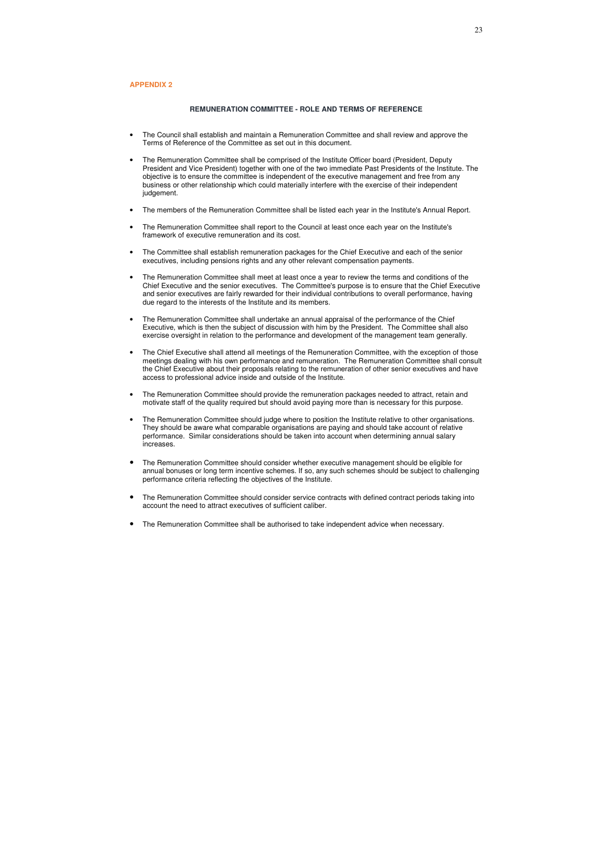#### **REMUNERATION COMMITTEE - ROLE AND TERMS OF REFERENCE**

- The Council shall establish and maintain a Remuneration Committee and shall review and approve the Terms of Reference of the Committee as set out in this document.
- The Remuneration Committee shall be comprised of the Institute Officer board (President, Deputy President and Vice President) together with one of the two immediate Past Presidents of the Institute. The objective is to ensure the committee is independent of the executive management and free from any business or other relationship which could materially interfere with the exercise of their independent judgement.
- The members of the Remuneration Committee shall be listed each year in the Institute's Annual Report.
- The Remuneration Committee shall report to the Council at least once each year on the Institute's framework of executive remuneration and its cost.
- The Committee shall establish remuneration packages for the Chief Executive and each of the senior executives, including pensions rights and any other relevant compensation payments.
- The Remuneration Committee shall meet at least once a year to review the terms and conditions of the Chief Executive and the senior executives. The Committee's purpose is to ensure that the Chief Executive and senior executives are fairly rewarded for their individual contributions to overall performance, having due regard to the interests of the Institute and its members.
- The Remuneration Committee shall undertake an annual appraisal of the performance of the Chief Executive, which is then the subject of discussion with him by the President. The Committee shall also exercise oversight in relation to the performance and development of the management team generally.
- The Chief Executive shall attend all meetings of the Remuneration Committee, with the exception of those meetings dealing with his own performance and remuneration. The Remuneration Committee shall consult the Chief Executive about their proposals relating to the remuneration of other senior executives and have access to professional advice inside and outside of the Institute.
- The Remuneration Committee should provide the remuneration packages needed to attract, retain and motivate staff of the quality required but should avoid paying more than is necessary for this purpose.
- The Remuneration Committee should judge where to position the Institute relative to other organisations. They should be aware what comparable organisations are paying and should take account of relative performance. Similar considerations should be taken into account when determining annual salary increases.
- The Remuneration Committee should consider whether executive management should be eligible for annual bonuses or long term incentive schemes. If so, any such schemes should be subject to challenging performance criteria reflecting the objectives of the Institute.
- The Remuneration Committee should consider service contracts with defined contract periods taking into account the need to attract executives of sufficient caliber.
- The Remuneration Committee shall be authorised to take independent advice when necessary.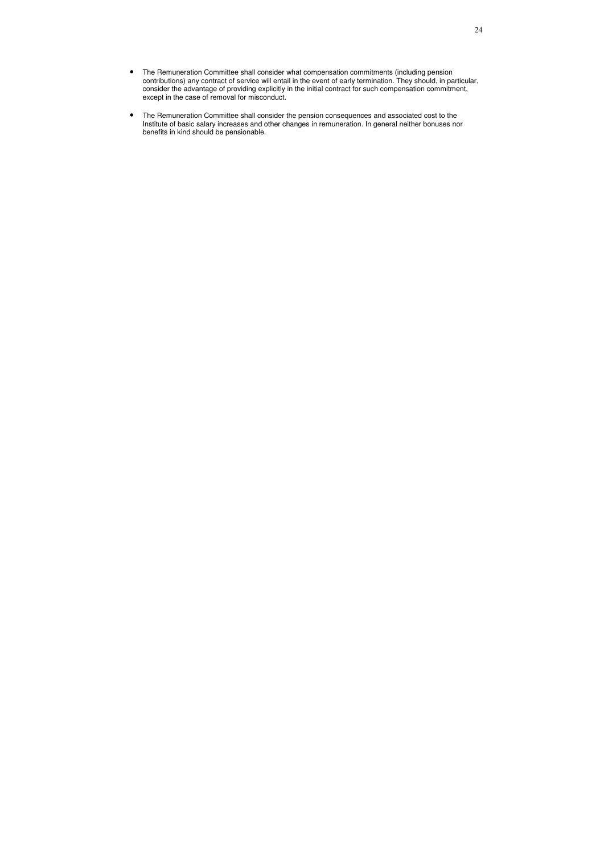- The Remuneration Committee shall consider what compensation commitments (including pension contributions) any contract of service will entail in the event of early termination. They should, in particular, consider the advantage of providing explicitly in the initial contract for such compensation commitment, except in the case of removal for misconduct.
- The Remuneration Committee shall consider the pension consequences and associated cost to the Institute of basic salary increases and other changes in remuneration. In general neither bonuses nor benefits in kind should be pensionable.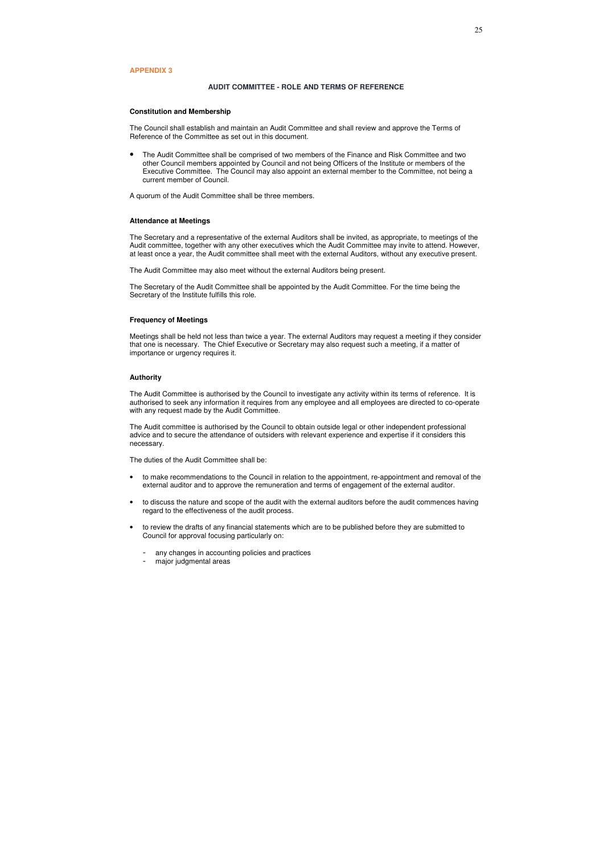#### **APPENDIX 3**

#### **AUDIT COMMITTEE - ROLE AND TERMS OF REFERENCE**

#### **Constitution and Membership**

The Council shall establish and maintain an Audit Committee and shall review and approve the Terms of Reference of the Committee as set out in this document.

• The Audit Committee shall be comprised of two members of the Finance and Risk Committee and two other Council members appointed by Council and not being Officers of the Institute or members of the Executive Committee. The Council may also appoint an external member to the Committee, not being a current member of Council.

A quorum of the Audit Committee shall be three members.

#### **Attendance at Meetings**

The Secretary and a representative of the external Auditors shall be invited, as appropriate, to meetings of the Audit committee, together with any other executives which the Audit Committee may invite to attend. However, at least once a year, the Audit committee shall meet with the external Auditors, without any executive present.

The Audit Committee may also meet without the external Auditors being present.

The Secretary of the Audit Committee shall be appointed by the Audit Committee. For the time being the Secretary of the Institute fulfills this role.

#### **Frequency of Meetings**

Meetings shall be held not less than twice a year. The external Auditors may request a meeting if they consider that one is necessary. The Chief Executive or Secretary may also request such a meeting, if a matter of importance or urgency requires it.

#### **Authority**

The Audit Committee is authorised by the Council to investigate any activity within its terms of reference. It is authorised to seek any information it requires from any employee and all employees are directed to co-operate with any request made by the Audit Committee.

The Audit committee is authorised by the Council to obtain outside legal or other independent professional advice and to secure the attendance of outsiders with relevant experience and expertise if it considers this necessary.

The duties of the Audit Committee shall be:

- to make recommendations to the Council in relation to the appointment, re-appointment and removal of the external auditor and to approve the remuneration and terms of engagement of the external auditor.
- to discuss the nature and scope of the audit with the external auditors before the audit commences having regard to the effectiveness of the audit process.
- to review the drafts of any financial statements which are to be published before they are submitted to Council for approval focusing particularly on:
	- any changes in accounting policies and practices
	- major judgmental areas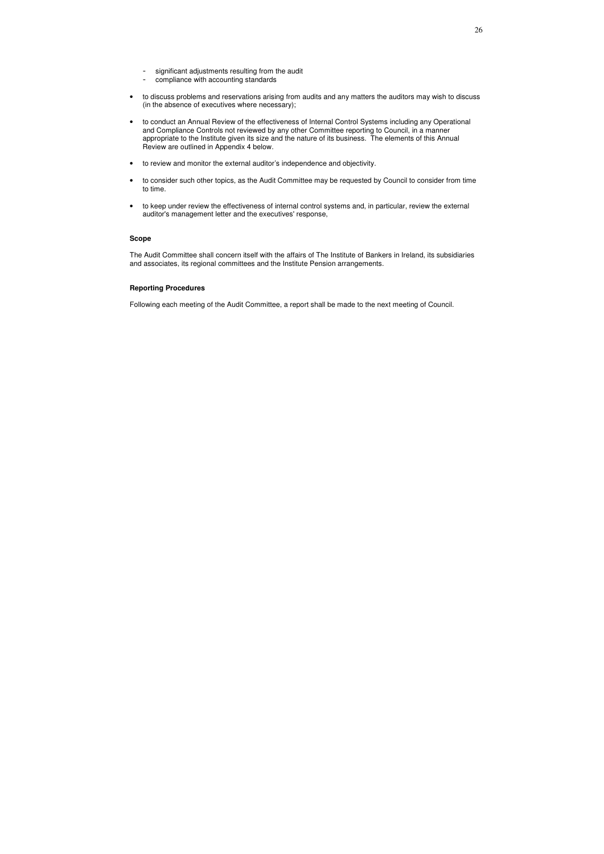- significant adjustments resulting from the audit
- compliance with accounting standards
- to discuss problems and reservations arising from audits and any matters the auditors may wish to discuss (in the absence of executives where necessary);
- to conduct an Annual Review of the effectiveness of Internal Control Systems including any Operational and Compliance Controls not reviewed by any other Committee reporting to Council, in a manner appropriate to the Institute given its size and the nature of its business. The elements of this Annual Review are outlined in Appendix 4 below.
- to review and monitor the external auditor's independence and objectivity.
- to consider such other topics, as the Audit Committee may be requested by Council to consider from time to time.
- to keep under review the effectiveness of internal control systems and, in particular, review the external auditor's management letter and the executives' response,

#### **Scope**

The Audit Committee shall concern itself with the affairs of The Institute of Bankers in Ireland, its subsidiaries and associates, its regional committees and the Institute Pension arrangements.

#### **Reporting Procedures**

Following each meeting of the Audit Committee, a report shall be made to the next meeting of Council.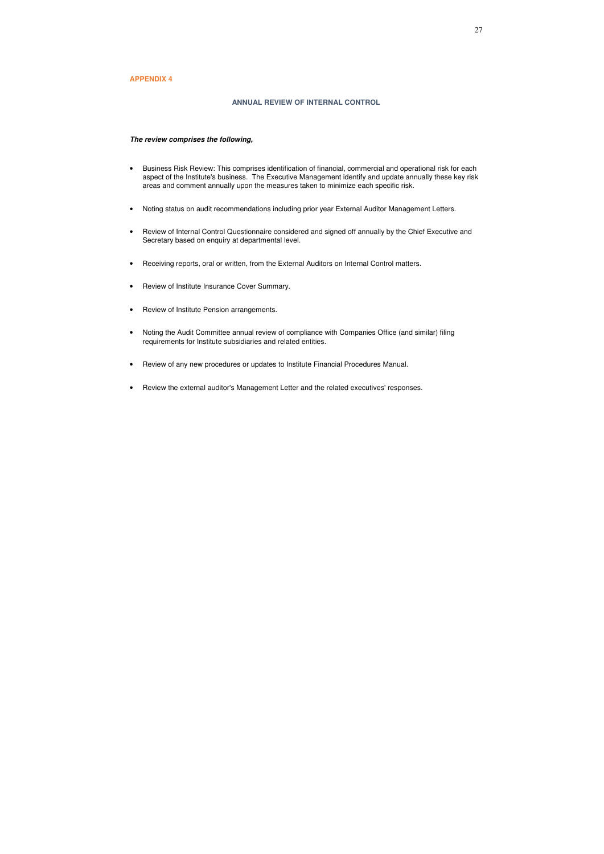## **APPENDIX 4**

#### **ANNUAL REVIEW OF INTERNAL CONTROL**

#### *The review comprises the following,*

- Business Risk Review: This comprises identification of financial, commercial and operational risk for each aspect of the Institute's business. The Executive Management identify and update annually these key risk areas and comment annually upon the measures taken to minimize each specific risk.
- Noting status on audit recommendations including prior year External Auditor Management Letters.
- Review of Internal Control Questionnaire considered and signed off annually by the Chief Executive and Secretary based on enquiry at departmental level.
- Receiving reports, oral or written, from the External Auditors on Internal Control matters.
- Review of Institute Insurance Cover Summary.
- Review of Institute Pension arrangements.
- Noting the Audit Committee annual review of compliance with Companies Office (and similar) filing requirements for Institute subsidiaries and related entities.
- Review of any new procedures or updates to Institute Financial Procedures Manual.
- Review the external auditor's Management Letter and the related executives' responses.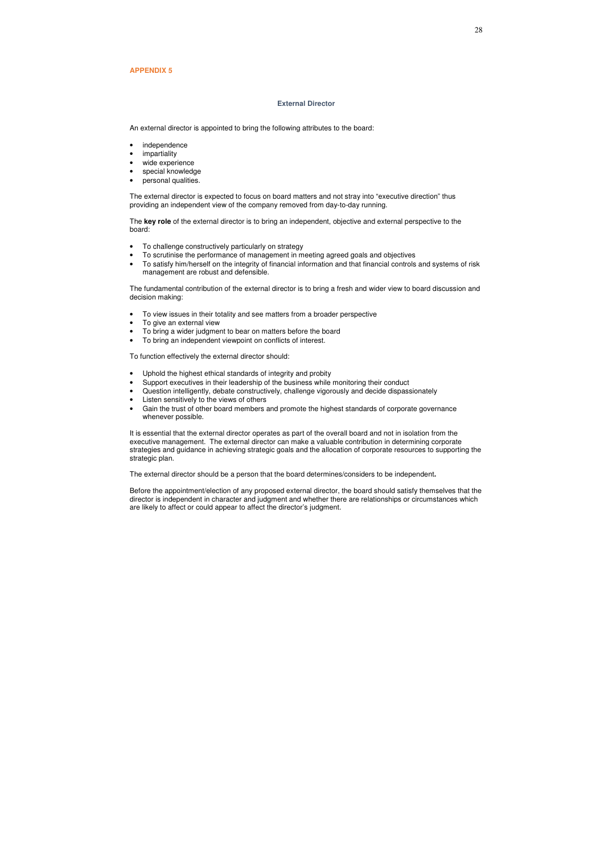#### **APPENDIX 5**

#### **External Director**

An external director is appointed to bring the following attributes to the board:

- independence
- impartiality
- wide experience
- special knowledge
- personal qualities.

The external director is expected to focus on board matters and not stray into "executive direction" thus providing an independent view of the company removed from day-to-day running.

The **key role** of the external director is to bring an independent, objective and external perspective to the board:

- To challenge constructively particularly on strategy
- To scrutinise the performance of management in meeting agreed goals and objectives
- To satisfy him/herself on the integrity of financial information and that financial controls and systems of risk management are robust and defensible.

The fundamental contribution of the external director is to bring a fresh and wider view to board discussion and decision making:

- To view issues in their totality and see matters from a broader perspective
- To give an external view
- To bring a wider judgment to bear on matters before the board
- To bring an independent viewpoint on conflicts of interest.

To function effectively the external director should:

- Uphold the highest ethical standards of integrity and probity
- Support executives in their leadership of the business while monitoring their conduct
- Question intelligently, debate constructively, challenge vigorously and decide dispassionately
- Listen sensitively to the views of others
- Gain the trust of other board members and promote the highest standards of corporate governance whenever possible.

It is essential that the external director operates as part of the overall board and not in isolation from the executive management. The external director can make a valuable contribution in determining corporate strategies and guidance in achieving strategic goals and the allocation of corporate resources to supporting the strategic plan.

The external director should be a person that the board determines/considers to be independent**.**

Before the appointment/election of any proposed external director, the board should satisfy themselves that the director is independent in character and judgment and whether there are relationships or circumstances which are likely to affect or could appear to affect the director's judgment.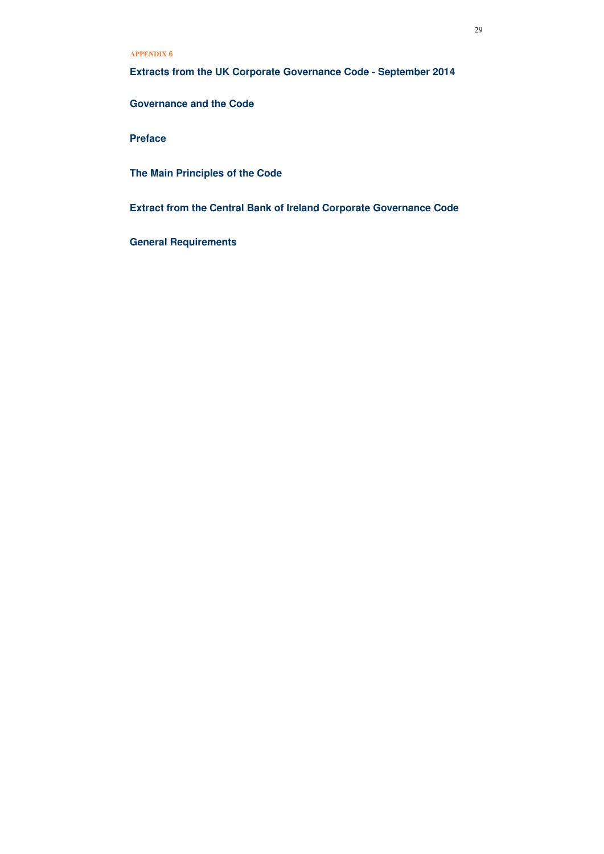**Extracts from the UK Corporate Governance Code - September 2014** 

**Governance and the Code** 

**Preface** 

**The Main Principles of the Code** 

**Extract from the Central Bank of Ireland Corporate Governance Code** 

**General Requirements** 

## **APPENDIX 6**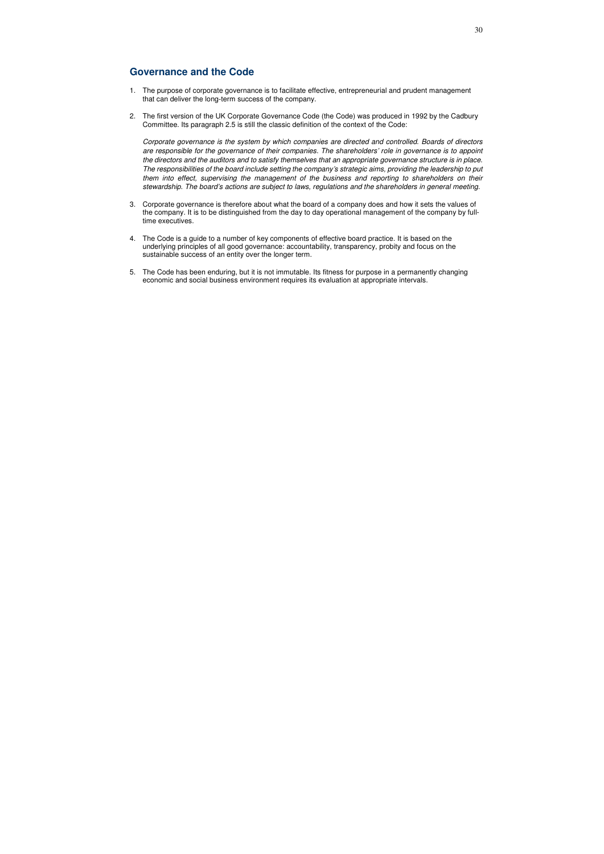## **Governance and the Code**

- 1. The purpose of corporate governance is to facilitate effective, entrepreneurial and prudent management that can deliver the long-term success of the company.
- 2. The first version of the UK Corporate Governance Code (the Code) was produced in 1992 by the Cadbury Committee. Its paragraph 2.5 is still the classic definition of the context of the Code:

Corporate governance is the system by which companies are directed and controlled. Boards of directors are responsible for the governance of their companies. The shareholders' role in governance is to appoint the directors and the auditors and to satisfy themselves that an appropriate governance structure is in place. The responsibilities of the board include setting the company's strategic aims, providing the leadership to put them into effect, supervising the management of the business and reporting to shareholders on their stewardship. The board's actions are subject to laws, regulations and the shareholders in general meeting.

- 3. Corporate governance is therefore about what the board of a company does and how it sets the values of the company. It is to be distinguished from the day to day operational management of the company by fulltime executives.
- 4. The Code is a guide to a number of key components of effective board practice. It is based on the underlying principles of all good governance: accountability, transparency, probity and focus on the sustainable success of an entity over the longer term.
- 5. The Code has been enduring, but it is not immutable. Its fitness for purpose in a permanently changing economic and social business environment requires its evaluation at appropriate intervals.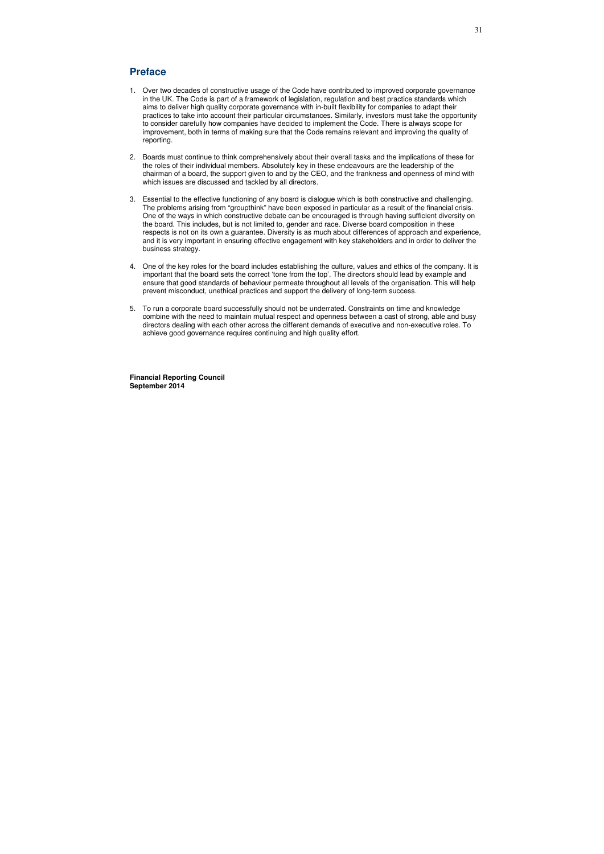## **Preface**

- 1. Over two decades of constructive usage of the Code have contributed to improved corporate governance in the UK. The Code is part of a framework of legislation, regulation and best practice standards which aims to deliver high quality corporate governance with in-built flexibility for companies to adapt their practices to take into account their particular circumstances. Similarly, investors must take the opportunity to consider carefully how companies have decided to implement the Code. There is always scope for improvement, both in terms of making sure that the Code remains relevant and improving the quality of reporting.
- 2. Boards must continue to think comprehensively about their overall tasks and the implications of these for the roles of their individual members. Absolutely key in these endeavours are the leadership of the chairman of a board, the support given to and by the CEO, and the frankness and openness of mind with which issues are discussed and tackled by all directors.
- 3. Essential to the effective functioning of any board is dialogue which is both constructive and challenging. The problems arising from "groupthink" have been exposed in particular as a result of the financial crisis. One of the ways in which constructive debate can be encouraged is through having sufficient diversity on the board. This includes, but is not limited to, gender and race. Diverse board composition in these respects is not on its own a guarantee. Diversity is as much about differences of approach and experience, and it is very important in ensuring effective engagement with key stakeholders and in order to deliver the business strategy.
- 4. One of the key roles for the board includes establishing the culture, values and ethics of the company. It is important that the board sets the correct 'tone from the top'. The directors should lead by example and ensure that good standards of behaviour permeate throughout all levels of the organisation. This will help prevent misconduct, unethical practices and support the delivery of long-term success.
- 5. To run a corporate board successfully should not be underrated. Constraints on time and knowledge combine with the need to maintain mutual respect and openness between a cast of strong, able and busy directors dealing with each other across the different demands of executive and non-executive roles. To achieve good governance requires continuing and high quality effort.

**Financial Reporting Council September 2014**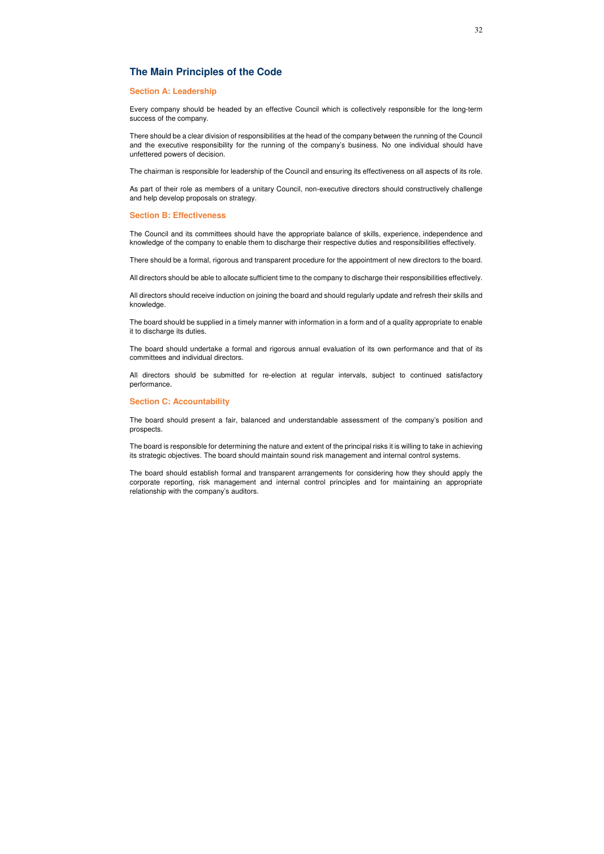## **The Main Principles of the Code**

### **Section A: Leadership**

Every company should be headed by an effective Council which is collectively responsible for the long-term success of the company.

There should be a clear division of responsibilities at the head of the company between the running of the Council and the executive responsibility for the running of the company's business. No one individual should have unfettered powers of decision.

The chairman is responsible for leadership of the Council and ensuring its effectiveness on all aspects of its role.

As part of their role as members of a unitary Council, non-executive directors should constructively challenge and help develop proposals on strategy.

#### **Section B: Effectiveness**

The Council and its committees should have the appropriate balance of skills, experience, independence and knowledge of the company to enable them to discharge their respective duties and responsibilities effectively.

There should be a formal, rigorous and transparent procedure for the appointment of new directors to the board.

All directors should be able to allocate sufficient time to the company to discharge their responsibilities effectively.

All directors should receive induction on joining the board and should regularly update and refresh their skills and knowledge.

The board should be supplied in a timely manner with information in a form and of a quality appropriate to enable it to discharge its duties.

The board should undertake a formal and rigorous annual evaluation of its own performance and that of its committees and individual directors.

All directors should be submitted for re-election at regular intervals, subject to continued satisfactory performance.

#### **Section C: Accountability**

The board should present a fair, balanced and understandable assessment of the company's position and prospects.

The board is responsible for determining the nature and extent of the principal risks it is willing to take in achieving its strategic objectives. The board should maintain sound risk management and internal control systems.

The board should establish formal and transparent arrangements for considering how they should apply the corporate reporting, risk management and internal control principles and for maintaining an appropriate relationship with the company's auditors.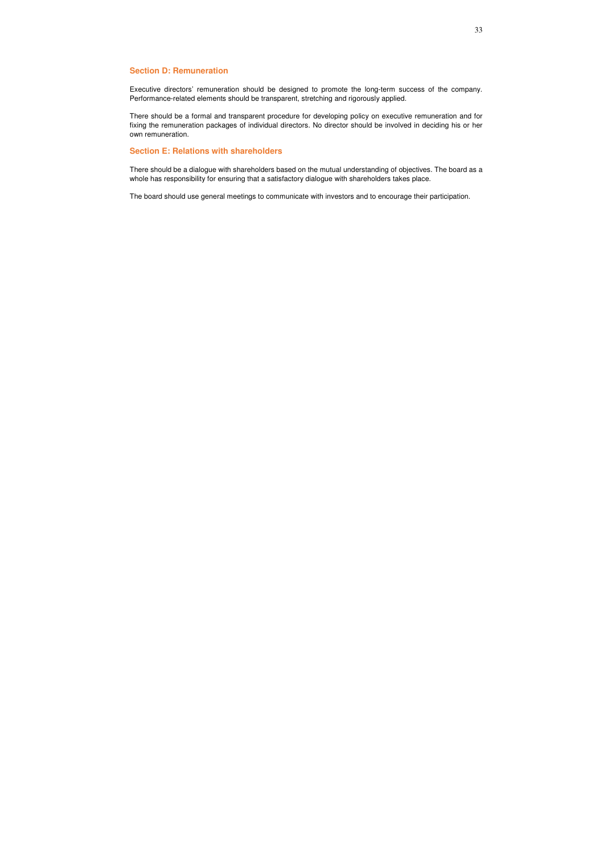## **Section D: Remuneration**

Executive directors' remuneration should be designed to promote the long-term success of the company. Performance-related elements should be transparent, stretching and rigorously applied.

There should be a formal and transparent procedure for developing policy on executive remuneration and for fixing the remuneration packages of individual directors. No director should be involved in deciding his or her own remuneration.

## **Section E: Relations with shareholders**

There should be a dialogue with shareholders based on the mutual understanding of objectives. The board as a whole has responsibility for ensuring that a satisfactory dialogue with shareholders takes place.

The board should use general meetings to communicate with investors and to encourage their participation.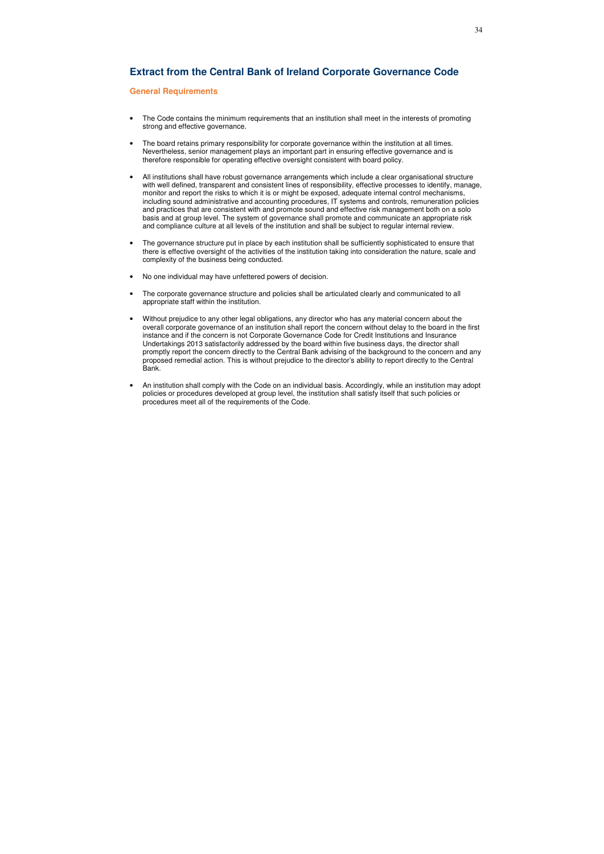## **Extract from the Central Bank of Ireland Corporate Governance Code**

## **General Requirements**

- The Code contains the minimum requirements that an institution shall meet in the interests of promoting strong and effective governance.
- The board retains primary responsibility for corporate governance within the institution at all times. Nevertheless, senior management plays an important part in ensuring effective governance and is therefore responsible for operating effective oversight consistent with board policy.
- All institutions shall have robust governance arrangements which include a clear organisational structure with well defined, transparent and consistent lines of responsibility, effective processes to identify, manage, monitor and report the risks to which it is or might be exposed, adequate internal control mechanisms, including sound administrative and accounting procedures, IT systems and controls, remuneration policies and practices that are consistent with and promote sound and effective risk management both on a solo basis and at group level. The system of governance shall promote and communicate an appropriate risk and compliance culture at all levels of the institution and shall be subject to regular internal review.
- The governance structure put in place by each institution shall be sufficiently sophisticated to ensure that there is effective oversight of the activities of the institution taking into consideration the nature, scale and complexity of the business being conducted.
- No one individual may have unfettered powers of decision.
- The corporate governance structure and policies shall be articulated clearly and communicated to all appropriate staff within the institution.
- Without prejudice to any other legal obligations, any director who has any material concern about the overall corporate governance of an institution shall report the concern without delay to the board in the first instance and if the concern is not Corporate Governance Code for Credit Institutions and Insurance Undertakings 2013 satisfactorily addressed by the board within five business days, the director shall promptly report the concern directly to the Central Bank advising of the background to the concern and any proposed remedial action. This is without prejudice to the director's ability to report directly to the Central Bank.
- An institution shall comply with the Code on an individual basis. Accordingly, while an institution may adopt policies or procedures developed at group level, the institution shall satisfy itself that such policies or procedures meet all of the requirements of the Code.